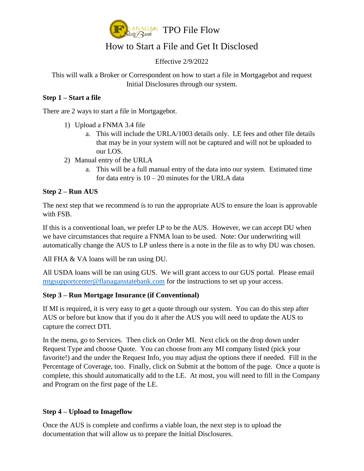

# How to Start a File and Get It Disclosed

#### Effective 2/9/2022

This will walk a Broker or Correspondent on how to start a file in Mortgagebot and request Initial Disclosures through our system.

#### **Step 1 – Start a file**

There are 2 ways to start a file in Mortgagebot.

- 1) Upload a FNMA 3.4 file
	- a. This will include the URLA/1003 details only. LE fees and other file details that may be in your system will not be captured and will not be uploaded to our LOS.
- 2) Manual entry of the URLA
	- a. This will be a full manual entry of the data into our system. Estimated time for data entry is  $10 - 20$  minutes for the URLA data

#### **Step 2 – Run AUS**

The next step that we recommend is to run the appropriate AUS to ensure the loan is approvable with FSB.

If this is a conventional loan, we prefer LP to be the AUS. However, we can accept DU when we have circumstances that require a FNMA loan to be used. Note: Our underwriting will automatically change the AUS to LP unless there is a note in the file as to why DU was chosen.

All FHA & VA loans will be ran using DU.

All USDA loans will be ran using GUS. We will grant access to our GUS portal. Please email [mtgsupportcenter@flanaganstatebank.com](mailto:mtgsupportcenter@flanaganstatebank.com) for the instructions to set up your access.

#### **Step 3 – Run Mortgage Insurance (if Conventional)**

If MI is required, it is very easy to get a quote through our system. You can do this step after AUS or before but know that if you do it after the AUS you will need to update the AUS to capture the correct DTI.

In the menu, go to Services. Then click on Order MI. Next click on the drop down under Request Type and choose Quote. You can choose from any MI company listed (pick your favorite!) and the under the Request Info, you may adjust the options there if needed. Fill in the Percentage of Coverage, too. Finally, click on Submit at the bottom of the page. Once a quote is complete, this should automatically add to the LE. At most, you will need to fill in the Company and Program on the first page of the LE.

## **Step 4 – Upload to Imageflow**

Once the AUS is complete and confirms a viable loan, the next step is to upload the documentation that will allow us to prepare the Initial Disclosures.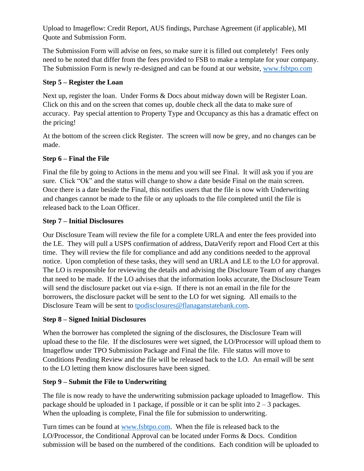Upload to Imageflow: Credit Report, AUS findings, Purchase Agreement (if applicable), MI Quote and Submission Form.

The Submission Form will advise on fees, so make sure it is filled out completely! Fees only need to be noted that differ from the fees provided to FSB to make a template for your company. The Submission Form is newly re-designed and can be found at our website, [www.fsbtpo.com](http://www.fsbtpo.com/)

# **Step 5 – Register the Loan**

Next up, register the loan. Under Forms & Docs about midway down will be Register Loan. Click on this and on the screen that comes up, double check all the data to make sure of accuracy. Pay special attention to Property Type and Occupancy as this has a dramatic effect on the pricing!

At the bottom of the screen click Register. The screen will now be grey, and no changes can be made.

# **Step 6 – Final the File**

Final the file by going to Actions in the menu and you will see Final. It will ask you if you are sure. Click "Ok" and the status will change to show a date beside Final on the main screen. Once there is a date beside the Final, this notifies users that the file is now with Underwriting and changes cannot be made to the file or any uploads to the file completed until the file is released back to the Loan Officer.

## **Step 7 – Initial Disclosures**

Our Disclosure Team will review the file for a complete URLA and enter the fees provided into the LE. They will pull a USPS confirmation of address, DataVerify report and Flood Cert at this time. They will review the file for compliance and add any conditions needed to the approval notice. Upon completion of these tasks, they will send an URLA and LE to the LO for approval. The LO is responsible for reviewing the details and advising the Disclosure Team of any changes that need to be made. If the LO advises that the information looks accurate, the Disclosure Team will send the disclosure packet out via e-sign. If there is not an email in the file for the borrowers, the disclosure packet will be sent to the LO for wet signing. All emails to the Disclosure Team will be sent to [tpodisclosures@flanaganstatebank.com.](mailto:tpodisclosures@flanaganstatebank.com)

## **Step 8 – Signed Initial Disclosures**

When the borrower has completed the signing of the disclosures, the Disclosure Team will upload these to the file. If the disclosures were wet signed, the LO/Processor will upload them to Imageflow under TPO Submission Package and Final the file. File status will move to Conditions Pending Review and the file will be released back to the LO. An email will be sent to the LO letting them know disclosures have been signed.

## **Step 9 – Submit the File to Underwriting**

The file is now ready to have the underwriting submission package uploaded to Imageflow. This package should be uploaded in 1 package, if possible or it can be split into 2 – 3 packages. When the uploading is complete, Final the file for submission to underwriting.

Turn times can be found at [www.fsbtpo.com.](http://www.fsbtpo.com/) When the file is released back to the LO/Processor, the Conditional Approval can be located under Forms & Docs. Condition submission will be based on the numbered of the conditions. Each condition will be uploaded to